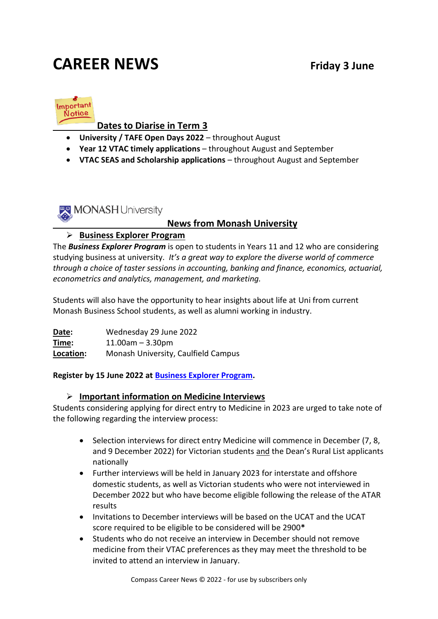# **CAREER NEWS** Friday 3 June



### **Dates to Diarise in Term 3**

- **University / TAFE Open Days 2022**  throughout August
- **Year 12 VTAC timely applications**  throughout August and September
- **VTAC SEAS and Scholarship applications**  throughout August and September



#### **News from Monash University**

#### ➢ **Business Explorer Program**

The *Business Explorer Program* is open to students in Years 11 and 12 who are considering studying business at university. *It's a great way to explore the diverse world of commerce through a choice of taster sessions in accounting, banking and finance, economics, actuarial, econometrics and analytics, management, and marketing.*

Students will also have the opportunity to hear insights about life at Uni from current Monash Business School students, as well as alumni working in industry.

**Date:** Wednesday 29 June 2022 **Time:** 11.00am – 3.30pm **Location:** Monash University, Caulfield Campus

**Register by 15 June 2022 at [Business Explorer Program.](https://www.monash.edu/business/business-explorer/home)**

#### ➢ **Important information on Medicine Interviews**

Students considering applying for direct entry to Medicine in 2023 are urged to take note of the following regarding the interview process:

- Selection interviews for direct entry Medicine will commence in December (7, 8, and 9 December 2022) for Victorian students and the Dean's Rural List applicants nationally
- Further interviews will be held in January 2023 for interstate and offshore domestic students, as well as Victorian students who were not interviewed in December 2022 but who have become eligible following the release of the ATAR results
- Invitations to December interviews will be based on the UCAT and the UCAT score required to be eligible to be considered will be 2900**\***
- Students who do not receive an interview in December should not remove medicine from their VTAC preferences as they may meet the threshold to be invited to attend an interview in January.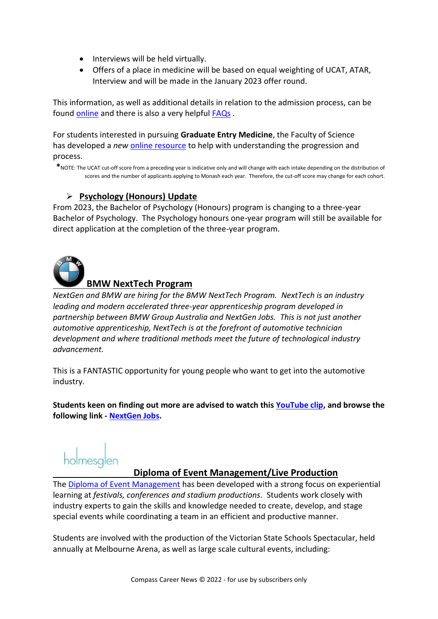- Interviews will be held virtually.
- Offers of a place in medicine will be based on equal weighting of UCAT, ATAR, Interview and will be made in the January 2023 offer round.

This information, as well as additional details in relation to the admission process, can be found [online](https://www.monash.edu/medicine/som/direct-entry/domestic) and there is also a very helpful **FAQs**.

For students interested in pursuing **Graduate Entry Medicine**, the Faculty of Science has developed a *new* [online resource](https://www.monash.edu/science/future-students/your-essential-guide-domestic-students/science-as-a-pathway-to-medicine) to help with understanding the progression and process.

**\***NOTE: The UCAT cut-off score from a preceding year is indicative only and will change with each intake depending on the distribution of scores and the number of applicants applying to Monash each year. Therefore, the cut-off score may change for each cohort.

#### ➢ **Psychology (Honours) Update**

From 2023, the Bachelor of Psychology (Honours) program is changing to a three-year Bachelor of Psychology. The Psychology honours one-year program will still be available for direct application at the completion of the three-year program.



#### **BMW NextTech Program**

*NextGen and BMW are hiring for the BMW NextTech Program. NextTech is an industry leading and modern accelerated three-year apprenticeship program developed in partnership between BMW Group Australia and NextGen Jobs. This is not just another automotive apprenticeship, NextTech is at the forefront of automotive technician development and where traditional methods meet the future of technological industry advancement.*

This is a FANTASTIC opportunity for young people who want to get into the automotive industry.

**Students keen on finding out more are advised to watch this [YouTube clip,](https://www.youtube.com/watch?v=WCUr2Q8lcSk) and browse the following link - [NextGen Jobs.](https://www.nextgenjobs.org.au/nexttech)** 

holmesglen

#### **Diploma of Event Management/Live Production**

The [Diploma of Event Management](https://holmesglen.edu.au/Courses/Hospitality-Tourism-and-Events/Events/Diploma-of-Event-Management/) has been developed with a strong focus on experiential learning at *festivals, conferences and stadium productions*. Students work closely with industry experts to gain the skills and knowledge needed to create, develop, and stage special events while coordinating a team in an efficient and productive manner.

Students are involved with the production of the Victorian State Schools Spectacular, held annually at Melbourne Arena, as well as large scale cultural events, including: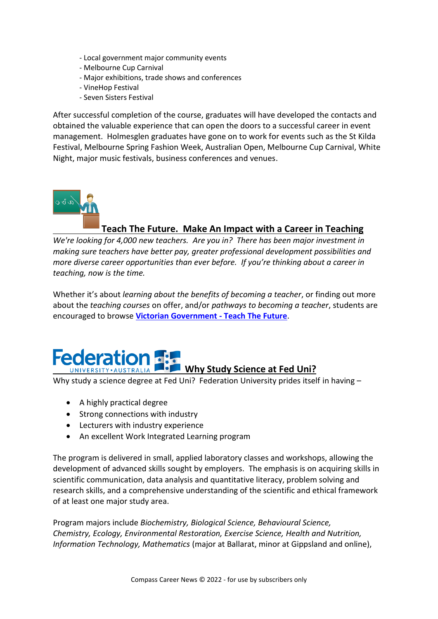- Local government major community events
- Melbourne Cup Carnival
- Major exhibitions, trade shows and conferences
- VineHop Festival
- Seven Sisters Festival

After successful completion of the course, graduates will have developed the contacts and obtained the valuable experience that can open the doors to a successful career in event management. Holmesglen graduates have gone on to work for events such as the St Kilda Festival, Melbourne Spring Fashion Week, Australian Open, Melbourne Cup Carnival, White Night, major music festivals, business conferences and venues.



#### **Teach The Future. Make An Impact with a Career in Teaching**

*We're looking for 4,000 new teachers. Are you in? There has been major investment in making sure teachers have better pay, greater professional development possibilities and more diverse career opportunities than ever before. If you're thinking about a career in teaching, now is the time.*

Whether it's about *learning about the benefits of becoming a teacher*, or finding out more about the *teaching courses* on offer, and/or *pathways to becoming a teacher*, students are encouraged to browse **[Victorian Government -](https://www.vic.gov.au/TeachTheFuture?gclid=EAIaIQobChMI1LyrhKCi9wIVlYdLBR2gNAgAEAAYAyAAEgKKjfD_BwE) Teach The Future**.

# **Federation Why Study Science at Fed Uni?**

Why study a science degree at Fed Uni? Federation University prides itself in having -

- A highly practical degree
- Strong connections with industry
- Lecturers with industry experience
- An excellent Work Integrated Learning program

The program is delivered in small, applied laboratory classes and workshops, allowing the development of advanced skills sought by employers. The emphasis is on acquiring skills in scientific communication, data analysis and quantitative literacy, problem solving and research skills, and a comprehensive understanding of the scientific and ethical framework of at least one major study area.

Program majors include *Biochemistry, Biological Science, Behavioural Science, Chemistry, Ecology, Environmental Restoration, Exercise Science, Health and Nutrition, Information Technology, Mathematics* (major at Ballarat, minor at Gippsland and online),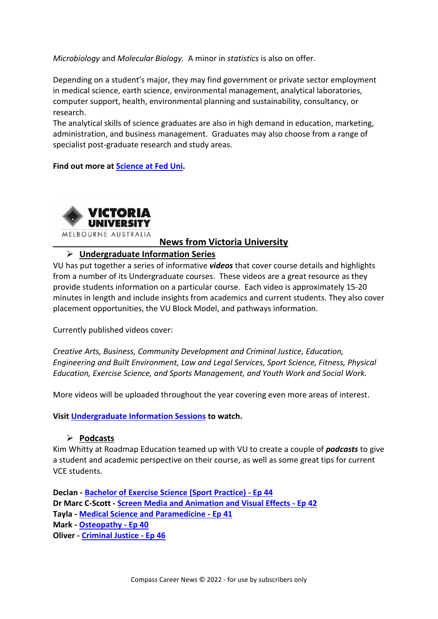*Microbiology* and *Molecular Biology.* A minor in *statistics* is also on offer.

Depending on a student's major, they may find government or private sector employment in medical science, earth science, environmental management, analytical laboratories, computer support, health, environmental planning and sustainability, consultancy, or research.

The analytical skills of science graduates are also in high demand in education, marketing, administration, and business management. Graduates may also choose from a range of specialist post-graduate research and study areas.

**Find out more at [Science at Fed Uni.](https://study.federation.edu.au/course/DSC5)**



#### **News from Victoria University**

#### ➢ **Undergraduate Information Series**

VU has put together a series of informative *videos* that cover course details and highlights from a number of its Undergraduate courses. These videos are a great resource as they provide students information on a particular course. Each video is approximately 15-20 minutes in length and include insights from academics and current students. They also cover placement opportunities, the VU Block Model, and pathways information.

Currently published videos cover:

*Creative Arts, Business, Community Development and Criminal Justice, Education, Engineering and Built Environment, Law and Legal Services, Sport Science, Fitness, Physical Education, Exercise Science, and Sports Management, and Youth Work and Social Work.* 

More videos will be uploaded throughout the year covering even more areas of interest.

**Visi[t Undergraduate Information Sessions](https://study.vu.edu.au/ug-on-demand) to watch.**

#### ➢ **Podcasts**

Kim Whitty at Roadmap Education teamed up with VU to create a couple of *podcasts* to give a student and academic perspective on their course, as well as some great tips for current VCE students.

**Declan - [Bachelor of Exercise Science \(Sport Practice\) -](https://www.roadmapeducation.com/podcast/44) Ep 44 Dr Marc C-Scott - [Screen Media and Animation and Visual Effects -](https://www.roadmapeducation.com/podcast/42) Ep 42 Tayla - [Medical Science and Paramedicine -](https://www.roadmapeducation.com/podcast/41) Ep 41 Mark - [Osteopathy -](https://www.roadmapeducation.com/podcast/40) Ep 40 Oliver - [Criminal Justice -](https://www.roadmapeducation.com/podcast/46) Ep 46**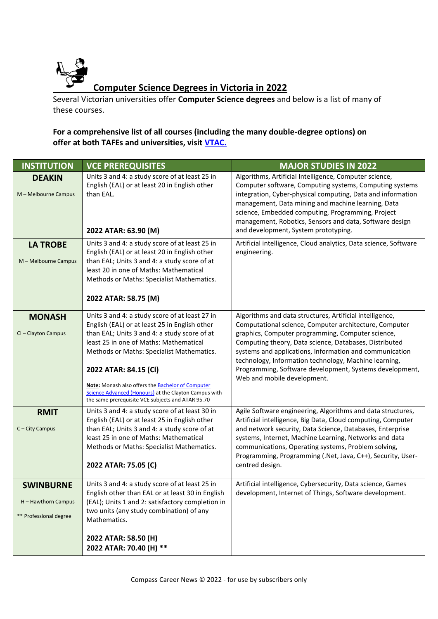

Several Victorian universities offer **Computer Science degrees** and below is a list of many of these courses.

#### **For a comprehensive list of all courses (including the many double-degree options) on offer at both TAFEs and universities, visit [VTAC.](http://www.vtac.edu.au/)**

| <b>INSTITUTION</b>                                                | <b>VCE PREREQUISITES</b>                                                                                                                                                                                                                                                                                                                                                                                                           | <b>MAJOR STUDIES IN 2022</b>                                                                                                                                                                                                                                                                                                                                                                                                                    |
|-------------------------------------------------------------------|------------------------------------------------------------------------------------------------------------------------------------------------------------------------------------------------------------------------------------------------------------------------------------------------------------------------------------------------------------------------------------------------------------------------------------|-------------------------------------------------------------------------------------------------------------------------------------------------------------------------------------------------------------------------------------------------------------------------------------------------------------------------------------------------------------------------------------------------------------------------------------------------|
| <b>DEAKIN</b><br>M - Melbourne Campus                             | Units 3 and 4: a study score of at least 25 in<br>English (EAL) or at least 20 in English other<br>than EAL.<br>2022 ATAR: 63.90 (M)                                                                                                                                                                                                                                                                                               | Algorithms, Artificial Intelligence, Computer science,<br>Computer software, Computing systems, Computing systems<br>integration, Cyber-physical computing, Data and information<br>management, Data mining and machine learning, Data<br>science, Embedded computing, Programming, Project<br>management, Robotics, Sensors and data, Software design<br>and development, System prototyping.                                                  |
| <b>LA TROBE</b><br>M - Melbourne Campus                           | Units 3 and 4: a study score of at least 25 in<br>English (EAL) or at least 20 in English other<br>than EAL; Units 3 and 4: a study score of at<br>least 20 in one of Maths: Mathematical<br>Methods or Maths: Specialist Mathematics.<br>2022 ATAR: 58.75 (M)                                                                                                                                                                     | Artificial intelligence, Cloud analytics, Data science, Software<br>engineering.                                                                                                                                                                                                                                                                                                                                                                |
| <b>MONASH</b><br>Cl - Clayton Campus                              | Units 3 and 4: a study score of at least 27 in<br>English (EAL) or at least 25 in English other<br>than EAL; Units 3 and 4: a study score of at<br>least 25 in one of Maths: Mathematical<br>Methods or Maths: Specialist Mathematics.<br>2022 ATAR: 84.15 (CI)<br>Note: Monash also offers the Bachelor of Computer<br>Science Advanced (Honours) at the Clayton Campus with<br>the same prerequisite VCE subjects and ATAR 95.70 | Algorithms and data structures, Artificial intelligence,<br>Computational science, Computer architecture, Computer<br>graphics, Computer programming, Computer science,<br>Computing theory, Data science, Databases, Distributed<br>systems and applications, Information and communication<br>technology, Information technology, Machine learning,<br>Programming, Software development, Systems development,<br>Web and mobile development. |
| <b>RMIT</b><br>C - City Campus                                    | Units 3 and 4: a study score of at least 30 in<br>English (EAL) or at least 25 in English other<br>than EAL; Units 3 and 4: a study score of at<br>least 25 in one of Maths: Mathematical<br>Methods or Maths: Specialist Mathematics.<br>2022 ATAR: 75.05 (C)                                                                                                                                                                     | Agile Software engineering, Algorithms and data structures,<br>Artificial intelligence, Big Data, Cloud computing, Computer<br>and network security, Data Science, Databases, Enterprise<br>systems, Internet, Machine Learning, Networks and data<br>communications, Operating systems, Problem solving,<br>Programming, Programming (.Net, Java, C++), Security, User-<br>centred design.                                                     |
| <b>SWINBURNE</b><br>H - Hawthorn Campus<br>** Professional degree | Units 3 and 4: a study score of at least 25 in<br>English other than EAL or at least 30 in English<br>(EAL); Units 1 and 2: satisfactory completion in<br>two units (any study combination) of any<br>Mathematics.<br>2022 ATAR: 58.50 (H)<br>2022 ATAR: 70.40 (H) **                                                                                                                                                              | Artificial intelligence, Cybersecurity, Data science, Games<br>development, Internet of Things, Software development.                                                                                                                                                                                                                                                                                                                           |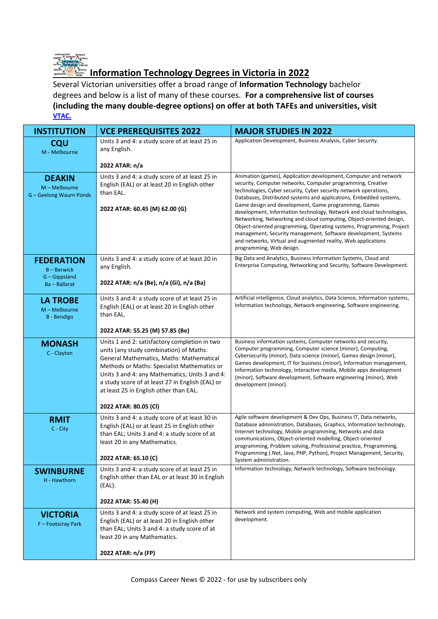

## **Information Technology Degrees in Victoria in 2022**

Several Victorian universities offer a broad range of **Information Technology** bachelor degrees and below is a list of many of these courses. **For a comprehensive list of courses (including the many double-degree options) on offer at both TAFEs and universities, visit [VTAC.](http://www.vtac.edu.au/)**

| <b>INSTITUTION</b>                                        | <b>VCE PREREQUISITES 2022</b>                                                                                                                                                                                                                                                                                                       | <b>MAJOR STUDIES IN 2022</b>                                                                                                                                                                                                                                                                                                                                                                                                                  |
|-----------------------------------------------------------|-------------------------------------------------------------------------------------------------------------------------------------------------------------------------------------------------------------------------------------------------------------------------------------------------------------------------------------|-----------------------------------------------------------------------------------------------------------------------------------------------------------------------------------------------------------------------------------------------------------------------------------------------------------------------------------------------------------------------------------------------------------------------------------------------|
| <b>CQU</b><br>M - Melbourne                               | Units 3 and 4: a study score of at least 25 in<br>any English.                                                                                                                                                                                                                                                                      | Application Development, Business Analysis, Cyber Security.                                                                                                                                                                                                                                                                                                                                                                                   |
|                                                           | 2022 ATAR: n/a                                                                                                                                                                                                                                                                                                                      |                                                                                                                                                                                                                                                                                                                                                                                                                                               |
| <b>DEAKIN</b><br>M - Melbourne<br>G - Geelong Waurn Ponds | Units 3 and 4: a study score of at least 25 in<br>English (EAL) or at least 20 in English other<br>than EAL.                                                                                                                                                                                                                        | Animation (games), Application development, Computer and network<br>security, Computer networks, Computer programming, Creative<br>technologies, Cyber security, Cyber security network operations,<br>Databases, Distributed systems and applications, Embedded systems,                                                                                                                                                                     |
|                                                           | 2022 ATAR: 60.45 (M) 62.00 (G)                                                                                                                                                                                                                                                                                                      | Game design and development, Game programming, Games<br>development, Information technology, Network and cloud technologies,<br>Networking, Networking and cloud computing, Object-oriented design,<br>Object-oriented programming, Operating systems, Programming, Project<br>management, Security management, Software development, Systems<br>and networks, Virtual and augmented reality, Web applications<br>programming, Web design.    |
| <b>FEDERATION</b><br><b>B-Berwick</b><br>G - Gippsland    | Units 3 and 4: a study score of at least 20 in<br>any English.                                                                                                                                                                                                                                                                      | Big Data and Analytics, Business Information Systems, Cloud and<br>Enterprise Computing, Networking and Security, Software Development.                                                                                                                                                                                                                                                                                                       |
| Ba-Ballarat                                               | 2022 ATAR: n/a (Be), n/a (Gi), n/a (Ba)                                                                                                                                                                                                                                                                                             |                                                                                                                                                                                                                                                                                                                                                                                                                                               |
| <b>LA TROBE</b><br>M - Melbourne<br><b>B</b> - Bendigo    | Units 3 and 4: a study score of at least 25 in<br>English (EAL) or at least 20 in English other<br>than EAL.                                                                                                                                                                                                                        | Artificial intelligence, Cloud analytics, Data Science, Information systems,<br>Information technology, Network engineering, Software engineering.                                                                                                                                                                                                                                                                                            |
|                                                           | 2022 ATAR: 55.25 (M) 57.85 (Be)                                                                                                                                                                                                                                                                                                     |                                                                                                                                                                                                                                                                                                                                                                                                                                               |
| <b>MONASH</b><br>C - Clayton                              | Units 1 and 2: satisfactory completion in two<br>units (any study combination) of Maths:<br>General Mathematics, Maths: Mathematical<br>Methods or Maths: Specialist Mathematics or<br>Units 3 and 4: any Mathematics; Units 3 and 4:<br>a study score of at least 27 in English (EAL) or<br>at least 25 in English other than EAL. | Business information systems, Computer networks and security,<br>Computer programming, Computer science (minor), Computing,<br>Cybersecurity (minor), Data science (minor), Games design (minor),<br>Games development, IT for business (minor), Information management,<br>Information technology, Interactive media, Mobile apps development<br>(minor), Software development, Software engineering (minor), Web<br>development (minor).    |
|                                                           | 2022 ATAR: 80.05 (CI)                                                                                                                                                                                                                                                                                                               |                                                                                                                                                                                                                                                                                                                                                                                                                                               |
| <b>RMIT</b><br>C - City                                   | Units 3 and 4: a study score of at least 30 in<br>English (EAL) or at least 25 in English other<br>than EAL; Units 3 and 4: a study score of at<br>least 20 in any Mathematics.<br>2022 ATAR: 65.10 (C)                                                                                                                             | Agile software development & Dev Ops, Business IT, Data networks,<br>Database administration, Databases, Graphics, Information technology,<br>Internet technology, Mobile programming, Networks and data<br>communications, Object-oriented modelling, Object-oriented<br>programming, Problem solving, Professional practice, Programming,<br>Programming (.Net, Java, PHP, Python), Project Management, Security,<br>System administration. |
| <b>SWINBURNE</b><br>H - Hawthorn                          | Units 3 and 4: a study score of at least 25 in<br>English other than EAL or at least 30 in English<br>(EAL).                                                                                                                                                                                                                        | Information technology, Network technology, Software technology.                                                                                                                                                                                                                                                                                                                                                                              |
|                                                           | 2022 ATAR: 55.40 (H)                                                                                                                                                                                                                                                                                                                |                                                                                                                                                                                                                                                                                                                                                                                                                                               |
| <b>VICTORIA</b><br>F-Footscray Park                       | Units 3 and 4: a study score of at least 25 in<br>English (EAL) or at least 20 in English other<br>than EAL; Units 3 and 4: a study score of at<br>least 20 in any Mathematics.                                                                                                                                                     | Network and system computing, Web and mobile application<br>development.                                                                                                                                                                                                                                                                                                                                                                      |
|                                                           | 2022 ATAR: n/a (FP)                                                                                                                                                                                                                                                                                                                 |                                                                                                                                                                                                                                                                                                                                                                                                                                               |